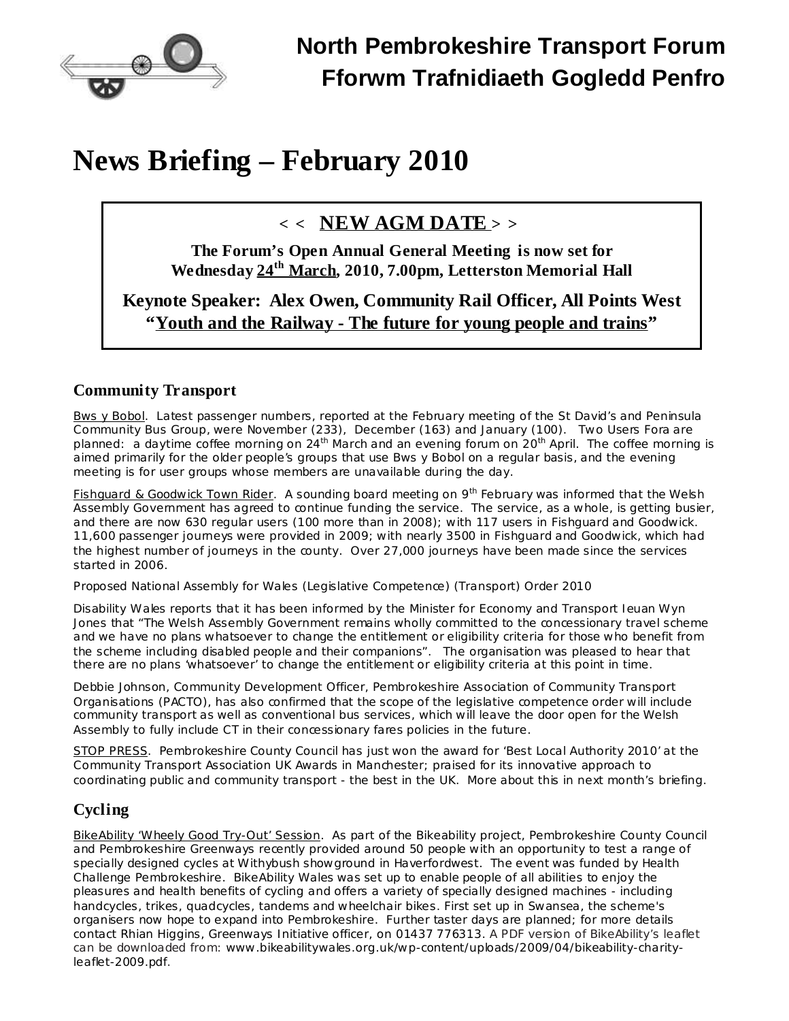

# **News Briefing – February 2010**

# **< < NEW AGM DATE > >**

**The Forum's Open Annual General Meeting is now set for Wednesday 24 th March, 2010, 7.00pm, Letterston Memorial Hall**

**Keynote Speaker: Alex Owen, Community Rail Officer, All Points West "Youth and the Railway - The future for young people and trains"**

### **Community Transport**

Bws y Bobol. Latest passenger numbers, reported at the February meeting of the St David's and Peninsula Community Bus Group, were November (233), December (163) and January (100). Two Users Fora are planned: a daytime coffee morning on 24<sup>th</sup> March and an evening forum on 20<sup>th</sup> April. The coffee morning is aimed primarily for the older people's groups that use Bws y Bobol on a regular basis, and the evening meeting is for user groups whose members are unavailable during the day.

Fishguard & Goodwick Town Rider. A sounding board meeting on 9<sup>th</sup> February was informed that the Welsh Assembly Government has agreed to continue funding the service. The service, as a whole, is getting busier, and there are now 630 regular users (100 more than in 2008); with 117 users in Fishguard and Goodwick. 11,600 passenger journeys were provided in 2009; with nearly 3500 in Fishguard and Goodwick, which had the highest number of journeys in the county. Over 27,000 journeys have been made since the services started in 2006.

Proposed National Assembly for Wales (Legislative [Competence\)](http://www.disabilitywales.org/1793) (Transport) Order 2010

Disability Wales reports that it has been informed by the Minister for Economy and Transport Ieuan Wyn Jones that "The Welsh Assembly Government remains wholly committed to the concessionary travel scheme and we have no plans whatsoever to change the entitlement or eligibility criteria for those who benefit from the scheme including disabled people and their companions". The organisation was pleased to hear that there are no plans 'whatsoever' to change the entitlement or eligibility criteria at this point in time.

Debbie Johnson, Community Development Officer, Pembrokeshire Association of Community Transport Organisations (PACTO), has also confirmed that the scope of the legislative competence order will include community transport as well as conventional bus services, which will leave the door open for the Welsh Assembly to fully include CT in their concessionary fares policies in the future.

STOP PRESS. Pembrokeshire County Council has just won the award for 'Best Local Authority 2010' at the Community Transport Association UK Awards in Manchester; praised for its innovative approach to coordinating public and community transport - the best in the UK. More about this in next month's briefing.

## **Cycling**

BikeAbility 'Wheely Good Try-Out' Session. As part of the Bikeability project, Pembrokeshire County Council and Pembrokeshire Greenways recently provided around 50 people with an opportunity to test a range of specially designed cycles at Withybush showground in Haverfordwest. The event was funded by Health Challenge Pembrokeshire. BikeAbility Wales was set up to enable people of all abilities to enjoy the pleasures and health benefits of cycling and offers a variety of specially designed machines - including handcycles, trikes, quadcycles, tandems and wheelchair bikes. First set up in Swansea, the scheme's organisers now hope to expand into Pembrokeshire. Further taster days are planned; for more details contact Rhian Higgins, Greenways Initiative officer, on 01437 776313. A PDF version of BikeAbility's leaflet can be downloaded from: [www.bikeabilitywales.org.uk/wp-content/uploads/2009/04/bikeability-charity](http://www.bikeabilitywales.org.uk/wp-content/uploads/2009/04/bikeability-charity-leaflet-2009.pdf)[leaflet-2009.pdf.](http://www.bikeabilitywales.org.uk/wp-content/uploads/2009/04/bikeability-charity-leaflet-2009.pdf)